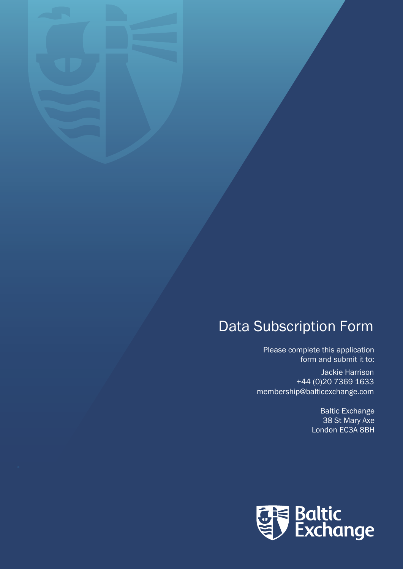## Data Subscription Form

Please complete this application form and submit it to:

Jackie Harrison +44 (0)20 7369 1633 membership@balticexchange.com

> Baltic Exchange 38 St Mary Axe London EC3A 8BH

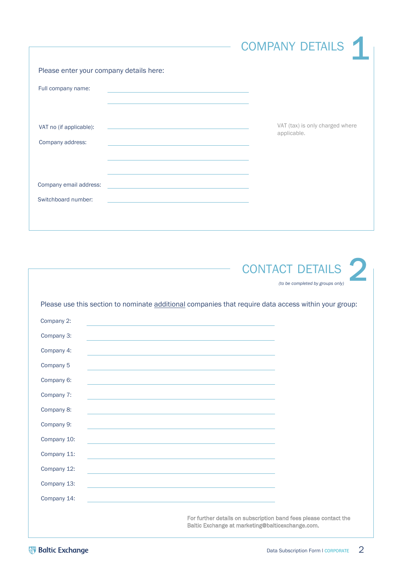|                                                                                                                                                                     | <b>COMPANY DETAILS</b>                         |
|---------------------------------------------------------------------------------------------------------------------------------------------------------------------|------------------------------------------------|
| Please enter your company details here:                                                                                                                             |                                                |
| Full company name:                                                                                                                                                  |                                                |
| VAT no (if applicable):<br><u> 1989 - Johann Stein, markin film fan it ferstjer fan de ferstjer fan it ferstjer fan it ferstjer fan it fers</u><br>Company address: | VAT (tax) is only charged where<br>applicable. |
|                                                                                                                                                                     |                                                |
| Company email address:                                                                                                                                              |                                                |
| Switchboard number:                                                                                                                                                 |                                                |



|             | Please use this section to nominate additional companies that require data access within your group:                 |
|-------------|----------------------------------------------------------------------------------------------------------------------|
| Company 2:  |                                                                                                                      |
| Company 3:  | the control of the control of the control of the control of the control of the control of                            |
| Company 4:  |                                                                                                                      |
| Company 5   | and the control of the control of the control of the control of the control of the control of the control of the     |
| Company 6:  | <u> 1989 - Johann Stein, mars an deutscher Stein und der Stein und der Stein und der Stein und der Stein und der</u> |
| Company 7:  | the contract of the contract of the contract of the contract of the contract of the contract of the contract of      |
| Company 8:  | and the control of the control of the control of the control of the control of the control of the control of the     |
| Company 9:  | <u> 1980 - Johann Barn, amerikansk politiker (d. 1980)</u>                                                           |
| Company 10: | the contract of the contract of the contract of the contract of the contract of the contract of the contract of      |
| Company 11: |                                                                                                                      |
| Company 12: |                                                                                                                      |
| Company 13: | <u> 1989 - Johann Stein, mars an deutscher Stein und der Stein und der Stein und der Stein und der Stein und der</u> |
| Company 14: |                                                                                                                      |
|             | For further details on subscription band fees please contact the<br>Baltic Exchange at marketing@balticexchange.com. |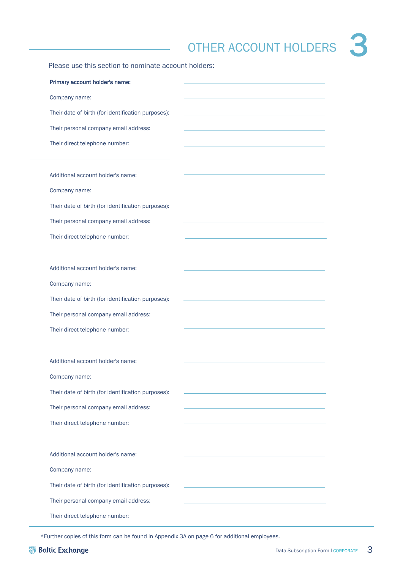|                                                      | <b>OTHER ACCOUNT HOLDERS</b> |
|------------------------------------------------------|------------------------------|
| Please use this section to nominate account holders: |                              |
| Primary account holder's name:                       |                              |
| Company name:                                        |                              |
| Their date of birth (for identification purposes):   |                              |
| Their personal company email address:                |                              |
| Their direct telephone number:                       |                              |
| Additional account holder's name:                    |                              |
| Company name:                                        |                              |
| Their date of birth (for identification purposes):   |                              |
| Their personal company email address:                |                              |
| Their direct telephone number:                       |                              |
| Additional account holder's name:                    |                              |
| Company name:                                        |                              |
| Their date of birth (for identification purposes):   |                              |
| Their personal company email address:                |                              |
| Their direct telephone number:                       |                              |
|                                                      |                              |
| Additional account holder's name:                    |                              |
| Company name:                                        |                              |
| Their date of birth (for identification purposes):   |                              |
| Their personal company email address:                |                              |
| Their direct telephone number:                       |                              |
| Additional account holder's name:                    |                              |
| Company name:                                        |                              |
| Their date of birth (for identification purposes):   |                              |
| Their personal company email address:                |                              |
| Their direct telephone number:                       |                              |
|                                                      |                              |

\*Further copies of this form can be found in Appendix 3A on page 6 for additional employees.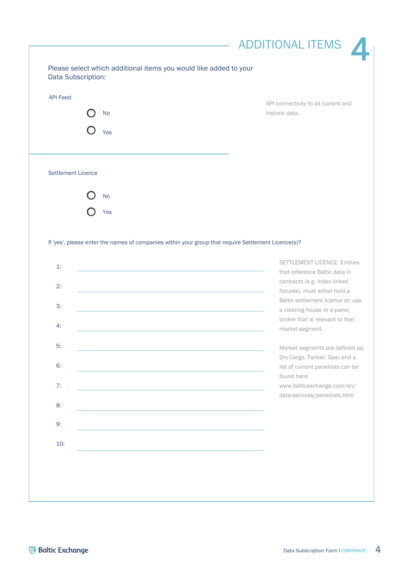|                           | <b>No</b> | API connectivity to all current and<br>historic data.                                                                          |
|---------------------------|-----------|--------------------------------------------------------------------------------------------------------------------------------|
|                           | Yes       |                                                                                                                                |
|                           |           |                                                                                                                                |
|                           |           |                                                                                                                                |
| <b>Settlement Licence</b> |           |                                                                                                                                |
|                           | <b>No</b> |                                                                                                                                |
|                           | Yes       |                                                                                                                                |
|                           |           |                                                                                                                                |
|                           |           |                                                                                                                                |
|                           |           | If 'yes', please enter the names of companies within your group that require Settlement Licence(s)?                            |
| 1:                        |           |                                                                                                                                |
|                           |           | that reference Baltic data in                                                                                                  |
| 2:                        |           | contracts (e.g. index linked<br>fixtures), must either hold a                                                                  |
| 3:                        |           | a clearing house or a panel                                                                                                    |
| 4:                        |           | <b>SETTLEMENT LICENCE: Entities</b><br>Baltic settlement licence or; use<br>broker that is relevant to that<br>market segment. |
| 5:                        |           |                                                                                                                                |
|                           |           | Market segments are defined as;<br>Dry Cargo, Tanker, Gas) and a                                                               |
| 6:                        |           | list of current panellists can be<br>found here:                                                                               |
| 7:                        |           | www.balticexchange.com/en/                                                                                                     |
| 8:                        |           | data-services/panellists.html                                                                                                  |
| 9:                        |           |                                                                                                                                |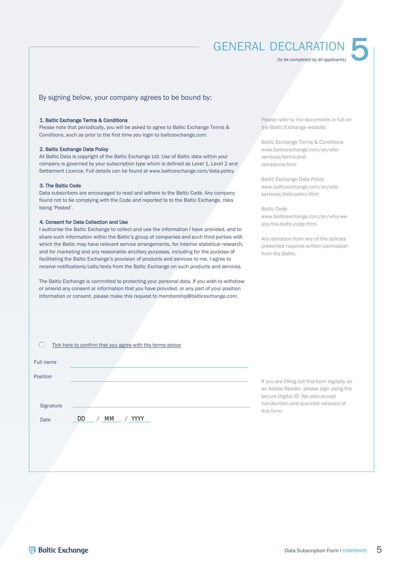### **GENERAL DECLARATION**

*(to be completed by all applicants)*

5

#### By signing below, your company agrees to be bound by:

#### 1. Baltic Exchange Terms & Conditions

Please note that periodically, you will be asked to agree to Baltic Exchange Terms & Conditions, such as prior to the first time you login to balticexchange.com.

#### 2. Baltic Exchange Data Policy

All Baltic Data is copyright of the Baltic Exchange Ltd. Use of Baltic data within your company is governed by your subscription type which is defined as Level 1, Level 2 and Settlement Licence. Full details can be found at www.balticexchange.com/data-policy

#### 3. The Baltic Code

Data subscribers are encouraged to read and adhere to the Baltic Code. Any company found not to be complying with the Code and reported to to the Baltic Exchange, risks being 'Posted'.

#### 4. Consent for Data Collection and Use

I authorise the Baltic Exchange to collect and use the information I have provided, and to share such information within the Baltic's group of companies and such third parties with which the Baltic may have relevant service arrangements, for internal statistical research, and for marketing and any reasonable ancillary purposes, including for the purpose of facilitating the Baltic Exchange's provision of products and services to me. I agree to receive notifications/calls/texts from the Baltic Exchange on such products and services.

The Baltic Exchange is committed to protecting your personal data. If you wish to withdraw or amend any consent or information that you have provided, or any part of your position information or consent, please make this request to [membership@balticexchange.com.](MAILTO:MEMBERSHIP@BALTICEXCHANGE.COM)

Please refer to the documents in full on the Baltic Exchange website:

Baltic Exchange Terms & Conditions [www.balticexchange.com/en/site](https://www.balticexchange.com/en/site-services/terms-and-conditions.html)services/terms-andconditions.html

Baltic Exchange Data Policy [www.balticexchange.com/en/site](https://www.balticexchange.com/en/site-services/data-policy.html)services/data-policy.html

Baltic Code [www.balticexchange.com/en/who-we](https://www.balticexchange.com/en/who-we-are/the-baltic-code.html)are/the-baltic-code.html

Any deviation from any of the policies presented requires written permission from the Baltic.

|           | Tick here to confirm that you agree with the terms above |                                                                                                                              |
|-----------|----------------------------------------------------------|------------------------------------------------------------------------------------------------------------------------------|
| Full name |                                                          |                                                                                                                              |
| Position  |                                                          |                                                                                                                              |
|           |                                                          | If you are filling out this form digitally on<br>an Adobe Reader, please sign using the<br>secure Digital ID. We also accept |
| Signature |                                                          | handwritten and scanned versions of<br>this form.                                                                            |
| Date      | МM<br><b>YYYY</b><br>DD                                  |                                                                                                                              |
|           |                                                          |                                                                                                                              |